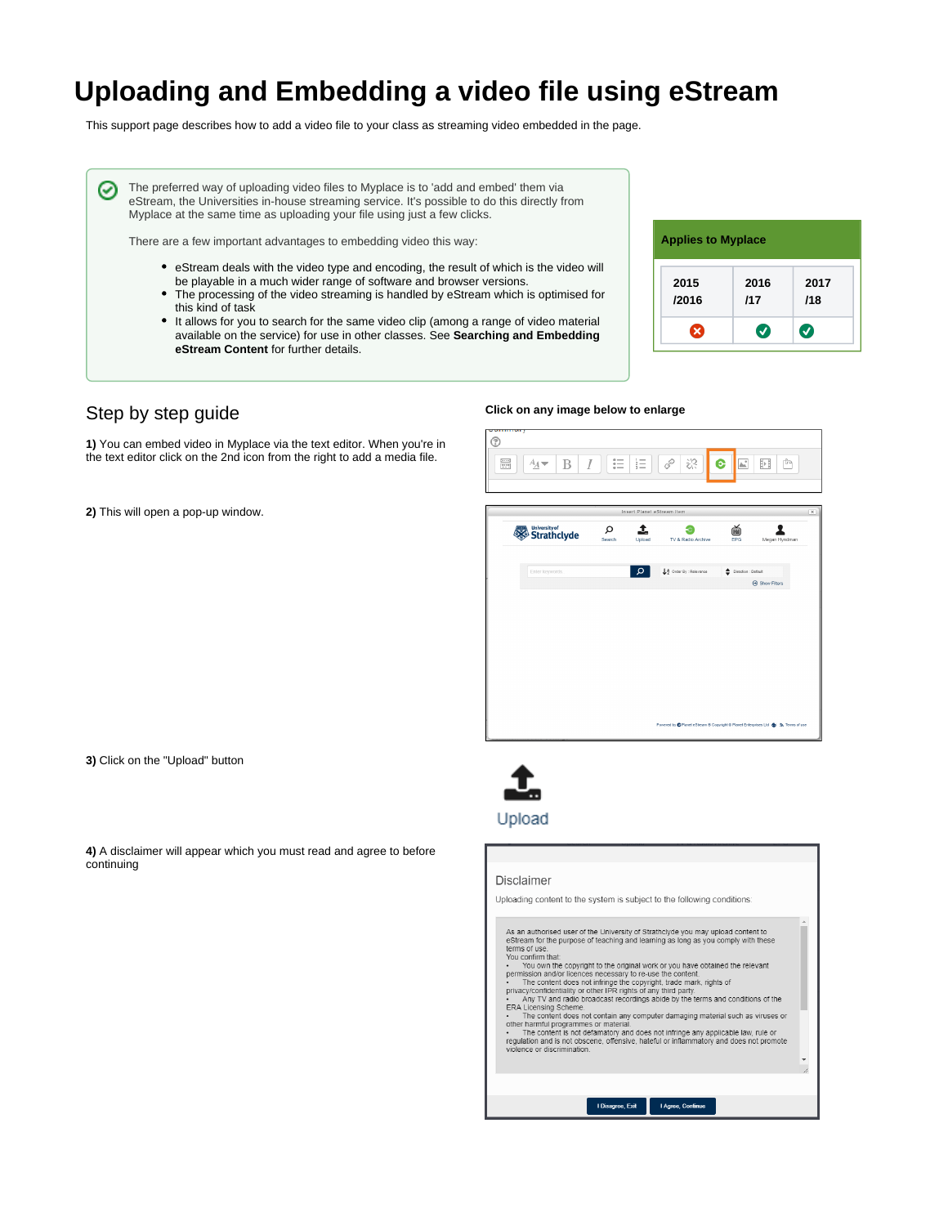# **Uploading and Embedding a video file using eStream**

This support page describes how to add a video file to your class as streaming video embedded in the page.

The preferred way of uploading video files to Myplace is to 'add and embed' them via eStream, the Universities in-house streaming service. It's possible to do this directly from Myplace at the same time as uploading your file using just a few clicks.

There are a few important advantages to embedding video this way:

- eStream deals with the video type and encoding, the result of which is the video will be playable in a much wider range of software and browser versions.
- The processing of the video streaming is handled by eStream which is optimised for this kind of task
- $\bullet$  It allows for you to search for the same video clip (among a range of video material available on the service) for use in other classes. See **Searching and Embedding eStream Content** for further details.

#### **Applies to Myplace 2015 2016 2017 /2016 /17 /18** ☺ ◙  $\bullet$

## Step by step guide

∽

**1)** You can embed video in Myplace via the text editor. When you're in the text editor click on the 2nd icon from the right to add a media file.

**2)** This will open a pop-up window.

### **Click on any image below to enlarge**



|                              | Insert Planet eStream Item |             |                        |                          |               |  |
|------------------------------|----------------------------|-------------|------------------------|--------------------------|---------------|--|
| University of<br>Strathclyde | Ω<br>Search                | 1<br>Upload | TV & Radio Archive     | ě<br>EPG                 | Megan Hyndman |  |
| Enter keywords               |                            | Q           | ↓ Order By : Relevance | ٠<br>Direction : Default |               |  |
|                              |                            |             |                        |                          | Show Filters  |  |
|                              |                            |             |                        |                          |               |  |
|                              |                            |             |                        |                          |               |  |
|                              |                            |             |                        |                          |               |  |
|                              |                            |             |                        |                          |               |  |
|                              |                            |             |                        |                          |               |  |
|                              |                            |             |                        |                          |               |  |

**3)** Click on the "Upload" button

**4)** A disclaimer will appear which you must read and agree to before continuing



## Upload

#### **Disclaimer**

Uploading content to the system is subject to the following conditions:

| As an authorised user of the University of Strathclyde you may upload content to<br>eStream for the purpose of teaching and learning as long as you comply with these<br>terms of use.<br>You confirm that:<br>You own the copyright to the original work or you have obtained the relevant<br>permission and/or licences necessary to re-use the content.<br>The content does not infringe the copyright, trade mark, rights of<br>privacy/confidentiality or other IPR rights of any third party.<br>Any TV and radio broadcast recordings abide by the terms and conditions of the<br>ERA Licensing Scheme.<br>The content does not contain any computer damaging material such as viruses or<br>other harmful programmes or material.<br>The content is not defamatory and does not infringe any applicable law, rule or<br>regulation and is not obscene, offensive, hateful or inflammatory and does not promote<br>violence or discrimination. |                   |
|-------------------------------------------------------------------------------------------------------------------------------------------------------------------------------------------------------------------------------------------------------------------------------------------------------------------------------------------------------------------------------------------------------------------------------------------------------------------------------------------------------------------------------------------------------------------------------------------------------------------------------------------------------------------------------------------------------------------------------------------------------------------------------------------------------------------------------------------------------------------------------------------------------------------------------------------------------|-------------------|
| <b>LDisagree Exit</b>                                                                                                                                                                                                                                                                                                                                                                                                                                                                                                                                                                                                                                                                                                                                                                                                                                                                                                                                 | I Agree. Continue |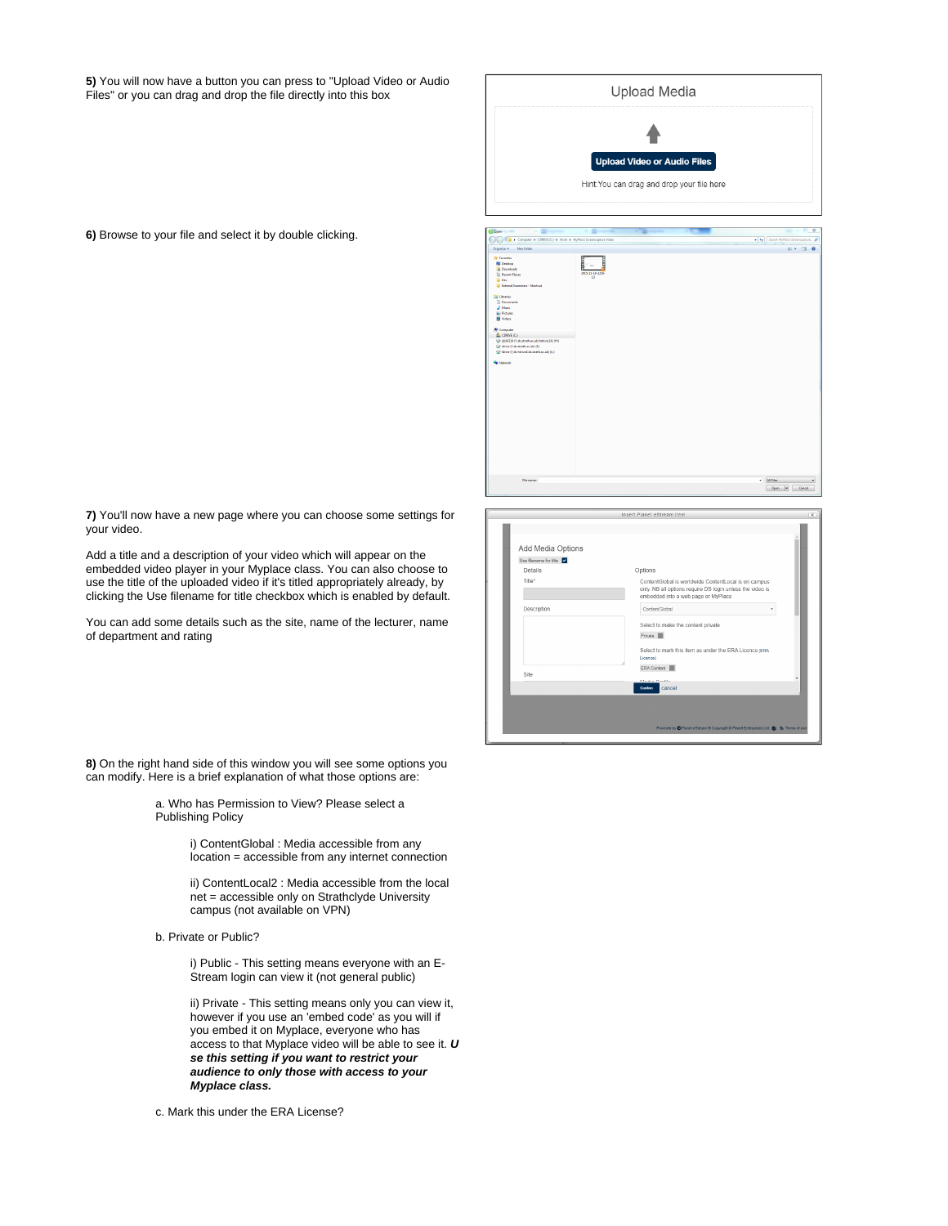**5)** You will now have a button you can press to "Upload Video or Audio Files" or you can drag and drop the file directly into this box

| <b>Upload Media</b>                                                                                                                                                                                                                     |                                 |                                    |                                            |                                                   |  |  |
|-----------------------------------------------------------------------------------------------------------------------------------------------------------------------------------------------------------------------------------------|---------------------------------|------------------------------------|--------------------------------------------|---------------------------------------------------|--|--|
|                                                                                                                                                                                                                                         |                                 |                                    |                                            |                                                   |  |  |
|                                                                                                                                                                                                                                         |                                 | <b>Upload Video or Audio Files</b> |                                            |                                                   |  |  |
|                                                                                                                                                                                                                                         |                                 |                                    | Hint: You can drag and drop your file here |                                                   |  |  |
| beer                                                                                                                                                                                                                                    |                                 |                                    |                                            | $\Sigma$                                          |  |  |
| > Computer > CDRNE(C:) > Work > MyPlace Screencepture Video<br>New folder<br>rganise v                                                                                                                                                  |                                 |                                    |                                            | v 4 Seemh MyPlace Screencopture p<br>$2 - 7$<br>ø |  |  |
| <b>Presides</b><br><b>Desktop</b><br><b>B</b> Downloads<br><b>Sill</b> Recent Places<br><b>Ill</b> Dev<br><b>B</b> External Examiners - Shortcut<br><b>El Libraries</b><br>R Documents<br>all Music<br>E Pictures<br><b>Bill Wilson</b> | 2015-11-19-1208<br>$\mathbf{u}$ |                                    |                                            |                                                   |  |  |

**6)** Browse to your file and select it by double clicking.

**7)** You'll now have a new page where you can choose some settings for your video.

Add a title and a description of your video which will appear on the embedded video player in your Myplace class. You can also choose to use the title of the uploaded video if it's titled appropriately already, by clicking the Use filename for title checkbox which is enabled by default.

You can add some details such as the site, name of the lecturer, name of department and rating

|                        | Insert Planet eStream Item                                                                                                                               |
|------------------------|----------------------------------------------------------------------------------------------------------------------------------------------------------|
|                        |                                                                                                                                                          |
|                        |                                                                                                                                                          |
| Add Media Options      |                                                                                                                                                          |
| Use filename for title |                                                                                                                                                          |
| Details                | Options                                                                                                                                                  |
| Title*                 | ContentGlobal is worldwide ContentLocal is on campus<br>only. NB all options require DS login unless the video is<br>embedded into a web page or MyPlace |
| Description            | ContentGlobal<br>٠                                                                                                                                       |
|                        | Select to make the content private                                                                                                                       |
|                        | Private III                                                                                                                                              |
|                        | Select to mark this item as under the ERA Licence (ERA                                                                                                   |
|                        | Licence)                                                                                                                                                 |
| Site                   | ERA Content                                                                                                                                              |
|                        | Advertise Chapter                                                                                                                                        |
|                        | cancel<br>Confirm                                                                                                                                        |
|                        |                                                                                                                                                          |
|                        |                                                                                                                                                          |
|                        |                                                                                                                                                          |
|                        | Powered by C Planet eStream @ Copyright @ Planet Enterprises Ltd & & R Terms of use                                                                      |

 $\begin{tabular}{|l|l|} \hline \hline \textbf{M} \textbf{H} \textbf{es} & \multicolumn{2}{|c|}{\textbf{N} \textbf{es}} \\ \hline \hline \textbf{Open} & \textbf{[e]} & \multicolumn{2}{|c|}{\textbf{C} \textbf{er} \textbf{cd}} \\ \hline \end{tabular}$ 

**8)** On the right hand side of this window you will see some options you can modify. Here is a brief explanation of what those options are:

> a. Who has Permission to View? Please select a Publishing Policy

> > i) ContentGlobal : Media accessible from any location = accessible from any internet connection

> > ii) ContentLocal2 : Media accessible from the local net = accessible only on Strathclyde University campus (not available on VPN)

b. Private or Public?

i) Public - This setting means everyone with an E-Stream login can view it (not general public)

ii) Private - This setting means only you can view it, however if you use an 'embed code' as you will if you embed it on Myplace, everyone who has access to that Myplace video will be able to see it. **U se this setting if you want to restrict your audience to only those with access to your Myplace class.** 

c. Mark this under the ERA License?